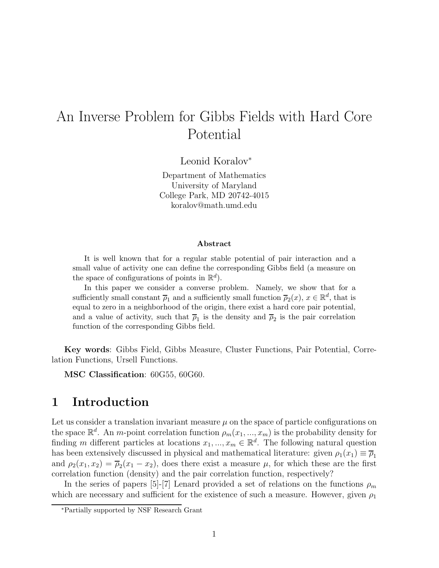# An Inverse Problem for Gibbs Fields with Hard Core Potential

Leonid Koralov<sup>∗</sup>

Department of Mathematics University of Maryland College Park, MD 20742-4015 koralov@math.umd.edu

#### Abstract

It is well known that for a regular stable potential of pair interaction and a small value of activity one can define the corresponding Gibbs field (a measure on the space of configurations of points in  $\mathbb{R}^d$ .

In this paper we consider a converse problem. Namely, we show that for a sufficiently small constant  $\overline{\rho}_1$  and a sufficiently small function  $\overline{\rho}_2(x)$ ,  $x \in \mathbb{R}^d$ , that is equal to zero in a neighborhood of the origin, there exist a hard core pair potential, and a value of activity, such that  $\overline{\rho}_1$  is the density and  $\overline{\rho}_2$  is the pair correlation function of the corresponding Gibbs field.

Key words: Gibbs Field, Gibbs Measure, Cluster Functions, Pair Potential, Correlation Functions, Ursell Functions.

MSC Classification: 60G55, 60G60.

### 1 Introduction

Let us consider a translation invariant measure  $\mu$  on the space of particle configurations on the space  $\mathbb{R}^d$ . An *m*-point correlation function  $\rho_m(x_1, ..., x_m)$  is the probability density for finding m different particles at locations  $x_1, ..., x_m \in \mathbb{R}^d$ . The following natural question has been extensively discussed in physical and mathematical literature: given  $\rho_1(x_1) \equiv \overline{\rho}_1$ and  $\rho_2(x_1, x_2) = \overline{\rho}_2(x_1 - x_2)$ , does there exist a measure  $\mu$ , for which these are the first correlation function (density) and the pair correlation function, respectively?

In the series of papers [5]-[7] Lenard provided a set of relations on the functions  $\rho_m$ which are necessary and sufficient for the existence of such a measure. However, given  $\rho_1$ 

<sup>∗</sup>Partially supported by NSF Research Grant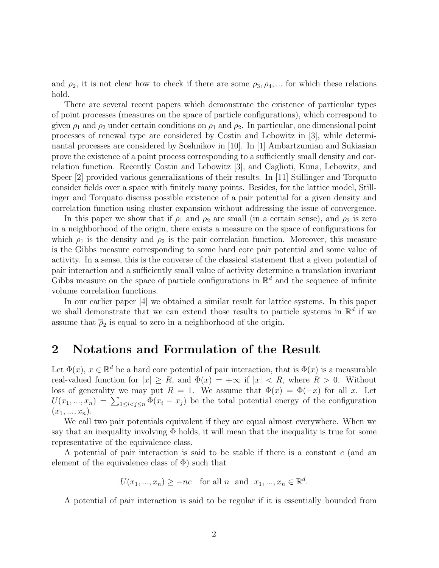and  $\rho_2$ , it is not clear how to check if there are some  $\rho_3, \rho_4, \dots$  for which these relations hold.

There are several recent papers which demonstrate the existence of particular types of point processes (measures on the space of particle configurations), which correspond to given  $\rho_1$  and  $\rho_2$  under certain conditions on  $\rho_1$  and  $\rho_2$ . In particular, one dimensional point processes of renewal type are considered by Costin and Lebowitz in [3], while determinantal processes are considered by Soshnikov in [10]. In [1] Ambartzumian and Sukiasian prove the existence of a point process corresponding to a sufficiently small density and correlation function. Recently Costin and Lebowitz [3], and Caglioti, Kuna, Lebowitz, and Speer [2] provided various generalizations of their results. In [11] Stillinger and Torquato consider fields over a space with finitely many points. Besides, for the lattice model, Stillinger and Torquato discuss possible existence of a pair potential for a given density and correlation function using cluster expansion without addressing the issue of convergence.

In this paper we show that if  $\rho_1$  and  $\rho_2$  are small (in a certain sense), and  $\rho_2$  is zero in a neighborhood of the origin, there exists a measure on the space of configurations for which  $\rho_1$  is the density and  $\rho_2$  is the pair correlation function. Moreover, this measure is the Gibbs measure corresponding to some hard core pair potential and some value of activity. In a sense, this is the converse of the classical statement that a given potential of pair interaction and a sufficiently small value of activity determine a translation invariant Gibbs measure on the space of particle configurations in  $\mathbb{R}^d$  and the sequence of infinite volume correlation functions.

In our earlier paper [4] we obtained a similar result for lattice systems. In this paper we shall demonstrate that we can extend those results to particle systems in  $\mathbb{R}^d$  if we assume that  $\overline{\rho}_2$  is equal to zero in a neighborhood of the origin.

#### 2 Notations and Formulation of the Result

Let  $\Phi(x)$ ,  $x \in \mathbb{R}^d$  be a hard core potential of pair interaction, that is  $\Phi(x)$  is a measurable real-valued function for  $|x| \geq R$ , and  $\Phi(x) = +\infty$  if  $|x| < R$ , where  $R > 0$ . Without loss of generality we may put  $R = 1$ . We assume that  $\Phi(x) = \Phi(-x)$  for all x. Let  $U(x_1,...,x_n) = \sum_{1 \leq i < j \leq n} \Phi(x_i - x_j)$  be the total potential energy of the configuration  $(x_1, ..., x_n).$ 

We call two pair potentials equivalent if they are equal almost everywhere. When we say that an inequality involving  $\Phi$  holds, it will mean that the inequality is true for some representative of the equivalence class.

A potential of pair interaction is said to be stable if there is a constant c (and an element of the equivalence class of  $\Phi$ ) such that

 $U(x_1, ..., x_n) \geq -nc$  for all n and  $x_1, ..., x_n \in \mathbb{R}^d$ .

A potential of pair interaction is said to be regular if it is essentially bounded from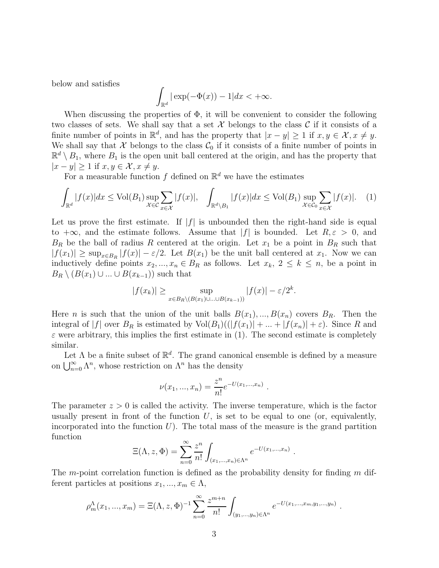below and satisfies

$$
\int_{\mathbb{R}^d} |\exp(-\Phi(x)) - 1| dx < +\infty.
$$

When discussing the properties of  $\Phi$ , it will be convenient to consider the following two classes of sets. We shall say that a set  $\mathcal X$  belongs to the class  $\mathcal C$  if it consists of a finite number of points in  $\mathbb{R}^d$ , and has the property that  $|x - y| \geq 1$  if  $x, y \in \mathcal{X}, x \neq y$ . We shall say that X belongs to the class  $\mathcal{C}_0$  if it consists of a finite number of points in  $\mathbb{R}^d \setminus B_1$ , where  $B_1$  is the open unit ball centered at the origin, and has the property that  $|x - y| \geq 1$  if  $x, y \in \mathcal{X}, x \neq y$ .

For a measurable function  $f$  defined on  $\mathbb{R}^d$  we have the estimates

$$
\int_{\mathbb{R}^d} |f(x)| dx \le \text{Vol}(B_1) \sup_{\mathcal{X} \in \mathcal{C}} \sum_{x \in \mathcal{X}} |f(x)|, \quad \int_{\mathbb{R}^d \setminus B_1} |f(x)| dx \le \text{Vol}(B_1) \sup_{\mathcal{X} \in \mathcal{C}_0} \sum_{x \in \mathcal{X}} |f(x)|. \quad (1)
$$

Let us prove the first estimate. If  $|f|$  is unbounded then the right-hand side is equal to  $+\infty$ , and the estimate follows. Assume that |f| is bounded. Let  $R, \varepsilon > 0$ , and  $B_R$  be the ball of radius R centered at the origin. Let  $x_1$  be a point in  $B_R$  such that  $|f(x_1)| \geq \sup_{x \in B_R} |f(x)| - \varepsilon/2$ . Let  $B(x_1)$  be the unit ball centered at  $x_1$ . Now we can inductively define points  $x_2, ..., x_n \in B_R$  as follows. Let  $x_k, 2 \leq k \leq n$ , be a point in  $B_R \setminus (B(x_1) \cup ... \cup B(x_{k-1}))$  such that

$$
|f(x_k)| \ge \sup_{x \in B_R \setminus (B(x_1) \cup \ldots \cup B(x_{k-1}))} |f(x)| - \varepsilon/2^k.
$$

Here *n* is such that the union of the unit balls  $B(x_1),..., B(x_n)$  covers  $B_R$ . Then the integral of |f| over  $B_R$  is estimated by  $\text{Vol}(B_1)((|f(x_1)| + ... + |f(x_n)| + \varepsilon)$ . Since R and  $\varepsilon$  were arbitrary, this implies the first estimate in (1). The second estimate is completely similar.

Let  $\Lambda$  be a finite subset of  $\mathbb{R}^d$ . The grand canonical ensemble is defined by a measure on  $\bigcup_{n=0}^{\infty} \Lambda^n$ , whose restriction on  $\Lambda^n$  has the density

$$
\nu(x_1, ..., x_n) = \frac{z^n}{n!} e^{-U(x_1, ..., x_n)}.
$$

The parameter  $z > 0$  is called the activity. The inverse temperature, which is the factor usually present in front of the function  $U$ , is set to be equal to one (or, equivalently, incorporated into the function  $U$ ). The total mass of the measure is the grand partition function

$$
\Xi(\Lambda, z, \Phi) = \sum_{n=0}^{\infty} \frac{z^n}{n!} \int_{(x_1, ..., x_n) \in \Lambda^n} e^{-U(x_1, ..., x_n)}.
$$

The m-point correlation function is defined as the probability density for finding  $m$  different particles at positions  $x_1, ..., x_m \in \Lambda$ ,

$$
\rho_m^{\Lambda}(x_1,...,x_m) = \Xi(\Lambda,z,\Phi)^{-1} \sum_{n=0}^{\infty} \frac{z^{m+n}}{n!} \int_{(y_1,...,y_n)\in\Lambda^n} e^{-U(x_1,...,x_m,y_1,...,y_n)}.
$$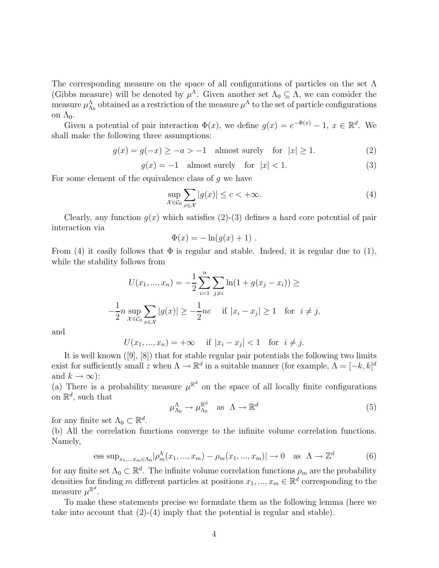The corresponding measure on the space of all configurations of particles on the set  $\Lambda$ (Gibbs measure) will be denoted by  $\mu^{\Lambda}$ . Given another set  $\Lambda_0 \subseteq \Lambda$ , we can consider the measure  $\mu_{\Lambda_0}^{\Lambda}$  obtained as a restriction of the measure  $\mu^{\Lambda}$  to the set of particle configurations on  $\Lambda_0$ .

Given a potential of pair interaction  $\Phi(x)$ , we define  $g(x) = e^{-\Phi(x)} - 1$ ,  $x \in \mathbb{R}^d$ . We shall make the following three assumptions:

$$
g(x) = g(-x) \ge -a > -1 \quad \text{almost surely} \quad \text{for} \quad |x| \ge 1. \tag{2}
$$

 $q(x) = -1$  almost surely for  $|x| < 1$ . (3)

For some element of the equivalence class of  $q$  we have

$$
\sup_{\mathcal{X}\in\mathcal{C}_0} \sum_{x\in\mathcal{X}} |g(x)| \le c < +\infty.
$$
 (4)

Clearly, any function  $q(x)$  which satisfies (2)-(3) defines a hard core potential of pair interaction via

$$
\Phi(x) = -\ln(g(x) + 1) .
$$

From (4) it easily follows that  $\Phi$  is regular and stable. Indeed, it is regular due to (1), while the stability follows from

$$
U(x_1, ..., x_n) = -\frac{1}{2} \sum_{i=1}^n \sum_{j \neq i} \ln(1 + g(x_j - x_i)) \ge
$$
  

$$
-\frac{1}{2} n \sup_{\mathcal{X} \in \mathcal{C}_0} \sum_{x \in \mathcal{X}} |g(x)| \ge -\frac{1}{2} nc \quad \text{if } |x_i - x_j| \ge 1 \quad \text{for } i \neq j,
$$

and

$$
U(x_1, ..., x_n) = +\infty
$$
 if  $|x_i - x_j| < 1$  for  $i \neq j$ .

It is well known ([9], [8]) that for stable regular pair potentials the following two limits exist for sufficiently small z when  $\Lambda \to \mathbb{R}^d$  in a suitable manner (for example,  $\Lambda = [-k, k]^d$ and  $k \to \infty$ :

(a) There is a probability measure  $\mu^{\mathbb{R}^d}$  on the space of all locally finite configurations on  $\mathbb{R}^d$ , such that

$$
\mu_{\Lambda_0}^{\Lambda} \to \mu_{\Lambda_0}^{\mathbb{R}^d} \quad \text{as} \quad \Lambda \to \mathbb{R}^d \tag{5}
$$

for any finite set  $\Lambda_0 \subset \mathbb{R}^d$ .

(b) All the correlation functions converge to the infinite volume correlation functions. Namely,

ess sup<sub>x<sub>1</sub>,...x<sub>m</sub> ∈ 
$$
\Lambda_0
$$</sub> | $\rho_m^{\Lambda}(x_1,...,x_m) - \rho_m(x_1,...,x_m)$ |  $\to 0$  as  $\Lambda \to \mathbb{Z}^d$  (6)

for any finite set  $\Lambda_0 \subset \mathbb{R}^d$ . The infinite volume correlation functions  $\rho_m$  are the probability densities for finding m different particles at positions  $x_1, ..., x_m \in \mathbb{R}^d$  corresponding to the measure  $\mu^{\mathbb{R}^d}$ .

To make these statements precise we formulate them as the following lemma (here we take into account that (2)-(4) imply that the potential is regular and stable).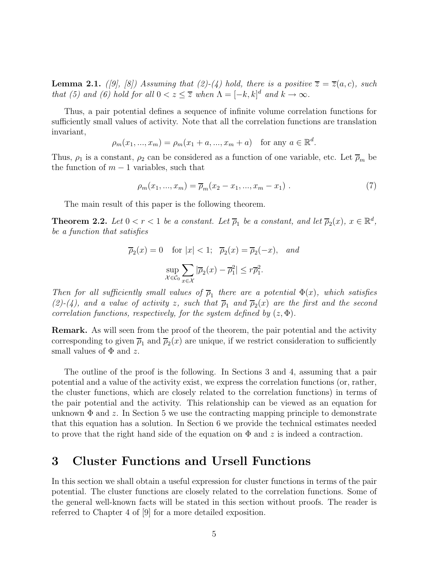**Lemma 2.1.** ([9], [8]) Assuming that (2)-(4) hold, there is a positive  $\overline{z} = \overline{z}(a, c)$ , such that (5) and (6) hold for all  $0 < z \leq \overline{z}$  when  $\Lambda = [-k, k]^d$  and  $k \to \infty$ .

Thus, a pair potential defines a sequence of infinite volume correlation functions for sufficiently small values of activity. Note that all the correlation functions are translation invariant,

$$
\rho_m(x_1, ..., x_m) = \rho_m(x_1 + a, ..., x_m + a)
$$
 for any  $a \in \mathbb{R}^d$ .

Thus,  $\rho_1$  is a constant,  $\rho_2$  can be considered as a function of one variable, etc. Let  $\overline{\rho}_m$  be the function of  $m-1$  variables, such that

$$
\rho_m(x_1, ..., x_m) = \overline{\rho}_m(x_2 - x_1, ..., x_m - x_1) \ . \tag{7}
$$

The main result of this paper is the following theorem.

**Theorem 2.2.** Let  $0 < r < 1$  be a constant. Let  $\overline{\rho}_1$  be a constant, and let  $\overline{\rho}_2(x)$ ,  $x \in \mathbb{R}^d$ , be a function that satisfies

$$
\overline{\rho}_2(x) = 0 \quad \text{for } |x| < 1; \quad \overline{\rho}_2(x) = \overline{\rho}_2(-x), \quad \text{and}
$$
\n
$$
\sup_{\mathcal{X} \in \mathcal{C}_0} \sum_{x \in \mathcal{X}} |\overline{\rho}_2(x) - \overline{\rho}_1^2| \le r\overline{\rho}_1^2.
$$

Then for all sufficiently small values of  $\overline{\rho}_1$  there are a potential  $\Phi(x)$ , which satisfies (2)-(4), and a value of activity z, such that  $\overline{\rho}_1$  and  $\overline{\rho}_2(x)$  are the first and the second correlation functions, respectively, for the system defined by  $(z, \Phi)$ .

Remark. As will seen from the proof of the theorem, the pair potential and the activity corresponding to given  $\overline{\rho}_1$  and  $\overline{\rho}_2(x)$  are unique, if we restrict consideration to sufficiently small values of  $\Phi$  and z.

The outline of the proof is the following. In Sections 3 and 4, assuming that a pair potential and a value of the activity exist, we express the correlation functions (or, rather, the cluster functions, which are closely related to the correlation functions) in terms of the pair potential and the activity. This relationship can be viewed as an equation for unknown  $\Phi$  and z. In Section 5 we use the contracting mapping principle to demonstrate that this equation has a solution. In Section 6 we provide the technical estimates needed to prove that the right hand side of the equation on  $\Phi$  and z is indeed a contraction.

#### 3 Cluster Functions and Ursell Functions

In this section we shall obtain a useful expression for cluster functions in terms of the pair potential. The cluster functions are closely related to the correlation functions. Some of the general well-known facts will be stated in this section without proofs. The reader is referred to Chapter 4 of [9] for a more detailed exposition.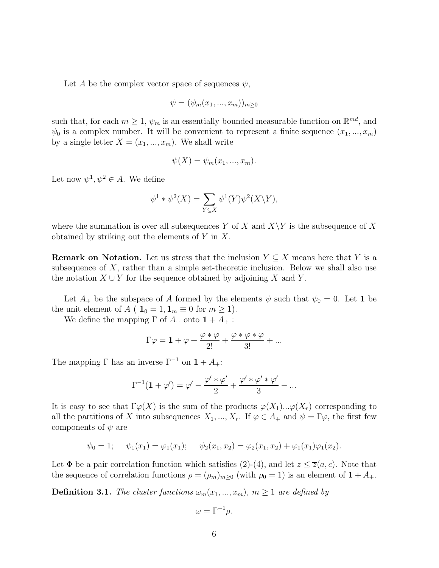Let A be the complex vector space of sequences  $\psi$ ,

$$
\psi = (\psi_m(x_1, \ldots, x_m))_{m \geq 0}
$$

such that, for each  $m \geq 1$ ,  $\psi_m$  is an essentially bounded measurable function on  $\mathbb{R}^{md}$ , and  $\psi_0$  is a complex number. It will be convenient to represent a finite sequence  $(x_1, ..., x_m)$ by a single letter  $X = (x_1, ..., x_m)$ . We shall write

$$
\psi(X) = \psi_m(x_1, \ldots, x_m).
$$

Let now  $\psi^1, \psi^2 \in A$ . We define

$$
\psi^1 * \psi^2(X) = \sum_{Y \subseteq X} \psi^1(Y) \psi^2(X \backslash Y),
$$

where the summation is over all subsequences Y of X and  $X\Y$  is the subsequence of X obtained by striking out the elements of Y in X.

**Remark on Notation.** Let us stress that the inclusion  $Y \subseteq X$  means here that Y is a subsequence of  $X$ , rather than a simple set-theoretic inclusion. Below we shall also use the notation  $X \cup Y$  for the sequence obtained by adjoining X and Y.

Let  $A_+$  be the subspace of A formed by the elements  $\psi$  such that  $\psi_0 = 0$ . Let 1 be the unit element of  $A$  (  $\mathbf{1}_0 = 1, \mathbf{1}_m \equiv 0$  for  $m \ge 1$ ).

We define the mapping  $\Gamma$  of  $A_+$  onto  $1+A_+$ :

$$
\Gamma \varphi = \mathbf{1} + \varphi + \frac{\varphi * \varphi}{2!} + \frac{\varphi * \varphi * \varphi}{3!} + \dots
$$

The mapping  $\Gamma$  has an inverse  $\Gamma^{-1}$  on  $1 + A_{+}$ :

$$
\Gamma^{-1}(\mathbf{1} + \varphi') = \varphi' - \frac{\varphi' * \varphi'}{2} + \frac{\varphi' * \varphi' * \varphi'}{3} - \dots
$$

It is easy to see that  $\Gamma \varphi(X)$  is the sum of the products  $\varphi(X_1)...\varphi(X_r)$  corresponding to all the partitions of X into subsequences  $X_1, ..., X_r$ . If  $\varphi \in A_+$  and  $\psi = \Gamma \varphi$ , the first few components of  $\psi$  are

$$
\psi_0 = 1;
$$
  $\psi_1(x_1) = \varphi_1(x_1);$   $\psi_2(x_1, x_2) = \varphi_2(x_1, x_2) + \varphi_1(x_1)\varphi_1(x_2).$ 

Let  $\Phi$  be a pair correlation function which satisfies (2)-(4), and let  $z \le \overline{z}(a, c)$ . Note that the sequence of correlation functions  $\rho = (\rho_m)_{m \geq 0}$  (with  $\rho_0 = 1$ ) is an element of  $1 + A_+$ .

**Definition 3.1.** The cluster functions  $\omega_m(x_1, ..., x_m)$ ,  $m \ge 1$  are defined by

$$
\omega = \Gamma^{-1} \rho.
$$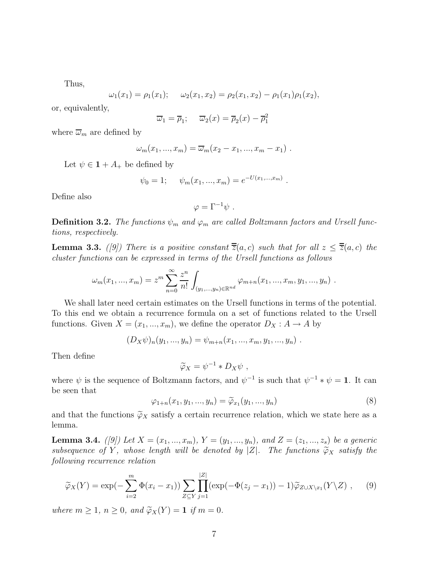Thus,

$$
\omega_1(x_1) = \rho_1(x_1);
$$
  $\omega_2(x_1, x_2) = \rho_2(x_1, x_2) - \rho_1(x_1)\rho_1(x_2),$ 

or, equivalently,

$$
\overline{\omega}_1 = \overline{\rho}_1; \quad \overline{\omega}_2(x) = \overline{\rho}_2(x) - \overline{\rho}_1^2
$$

where  $\overline{\omega}_m$  are defined by

$$
\omega_m(x_1, ..., x_m) = \overline{\omega}_m(x_2 - x_1, ..., x_m - x_1).
$$

Let  $\psi \in \mathbf{1} + A_+$  be defined by

$$
\psi_0 = 1;
$$
\n $\psi_m(x_1, ..., x_m) = e^{-U(x_1, ..., x_m)}$ .

Define also

$$
\varphi = \Gamma^{-1} \psi \ .
$$

**Definition 3.2.** The functions  $\psi_m$  and  $\varphi_m$  are called Boltzmann factors and Ursell functions, respectively.

**Lemma 3.3.** ([9]) There is a positive constant  $\overline{z}(a, c)$  such that for all  $z \leq \overline{z}(a, c)$  the cluster functions can be expressed in terms of the Ursell functions as follows

$$
\omega_m(x_1, ..., x_m) = z^m \sum_{n=0}^{\infty} \frac{z^n}{n!} \int_{(y_1, ..., y_n) \in \mathbb{R}^{nd}} \varphi_{m+n}(x_1, ..., x_m, y_1, ..., y_n) .
$$

We shall later need certain estimates on the Ursell functions in terms of the potential. To this end we obtain a recurrence formula on a set of functions related to the Ursell functions. Given  $X = (x_1, ..., x_m)$ , we define the operator  $D_X : A \to A$  by

$$
(D_X \psi)_n(y_1, ..., y_n) = \psi_{m+n}(x_1, ..., x_m, y_1, ..., y_n) .
$$

Then define

$$
\widetilde{\varphi}_X = \psi^{-1} * D_X \psi \ ,
$$

where  $\psi$  is the sequence of Boltzmann factors, and  $\psi^{-1}$  is such that  $\psi^{-1} * \psi = 1$ . It can be seen that

$$
\varphi_{1+n}(x_1, y_1, \ldots, y_n) = \widetilde{\varphi}_{x_1}(y_1, \ldots, y_n) \tag{8}
$$

and that the functions  $\widetilde{\varphi}_X$  satisfy a certain recurrence relation, which we state here as a lemma.

**Lemma 3.4.** ([9]) Let  $X = (x_1, ..., x_m)$ ,  $Y = (y_1, ..., y_n)$ , and  $Z = (z_1, ..., z_s)$  be a generic subsequence of Y, whose length will be denoted by  $|Z|$ . The functions  $\widetilde{\varphi}_X$  satisfy the following recurrence relation

$$
\widetilde{\varphi}_X(Y) = \exp\left(-\sum_{i=2}^m \Phi(x_i - x_1)\right) \sum_{Z \subseteq Y} \prod_{j=1}^{|Z|} (\exp(-\Phi(z_j - x_1)) - 1) \widetilde{\varphi}_{Z \cup X \setminus x_1}(Y \setminus Z) ,\qquad(9)
$$

where  $m \ge 1$ ,  $n \ge 0$ , and  $\widetilde{\varphi}_X(Y) = \mathbf{1}$  if  $m = 0$ .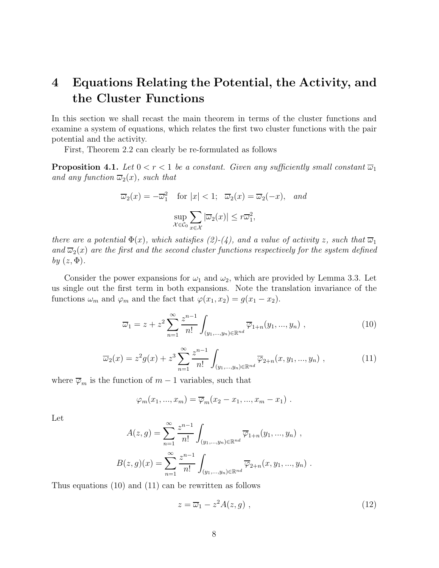## 4 Equations Relating the Potential, the Activity, and the Cluster Functions

In this section we shall recast the main theorem in terms of the cluster functions and examine a system of equations, which relates the first two cluster functions with the pair potential and the activity.

First, Theorem 2.2 can clearly be re-formulated as follows

**Proposition 4.1.** Let  $0 < r < 1$  be a constant. Given any sufficiently small constant  $\overline{\omega}_1$ and any function  $\overline{\omega}_2(x)$ , such that

$$
\overline{\omega}_2(x) = -\overline{\omega}_1^2 \quad \text{for } |x| < 1; \quad \overline{\omega}_2(x) = \overline{\omega}_2(-x), \quad \text{and}
$$
\n
$$
\sup_{\mathcal{X} \in \mathcal{C}_0} \sum_{x \in \mathcal{X}} |\overline{\omega}_2(x)| \le r\overline{\omega}_1^2,
$$

there are a potential  $\Phi(x)$ , which satisfies (2)-(4), and a value of activity z, such that  $\overline{\omega}_1$ and  $\overline{\omega}_2(x)$  are the first and the second cluster functions respectively for the system defined by  $(z, \Phi)$ .

Consider the power expansions for  $\omega_1$  and  $\omega_2$ , which are provided by Lemma 3.3. Let us single out the first term in both expansions. Note the translation invariance of the functions  $\omega_m$  and  $\varphi_m$  and the fact that  $\varphi(x_1, x_2) = g(x_1 - x_2)$ .

$$
\overline{\omega}_1 = z + z^2 \sum_{n=1}^{\infty} \frac{z^{n-1}}{n!} \int_{(y_1,\dots,y_n)\in\mathbb{R}^{nd}} \overline{\varphi}_{1+n}(y_1,\dots,y_n) ,
$$
\n(10)

$$
\overline{\omega}_2(x) = z^2 g(x) + z^3 \sum_{n=1}^{\infty} \frac{z^{n-1}}{n!} \int_{(y_1, \dots, y_n) \in \mathbb{R}^{nd}} \overline{\varphi}_{2+n}(x, y_1, \dots, y_n) ,
$$
 (11)

where  $\overline{\varphi}_m$  is the function of  $m-1$  variables, such that

$$
\varphi_m(x_1,...,x_m)=\overline{\varphi}_m(x_2-x_1,...,x_m-x_1).
$$

Let

$$
A(z,g) = \sum_{n=1}^{\infty} \frac{z^{n-1}}{n!} \int_{(y_1,...,y_n)\in\mathbb{R}^{nd}} \overline{\varphi}_{1+n}(y_1,...,y_n) ,
$$
  

$$
B(z,g)(x) = \sum_{n=1}^{\infty} \frac{z^{n-1}}{n!} \int_{(y_1,...,y_n)\in\mathbb{R}^{nd}} \overline{\varphi}_{2+n}(x, y_1,...,y_n) .
$$

Thus equations (10) and (11) can be rewritten as follows

$$
z = \overline{\omega}_1 - z^2 A(z, g) \tag{12}
$$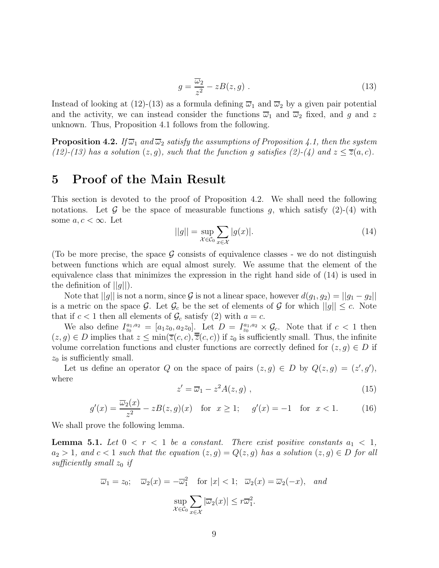$$
g = \frac{\overline{\omega}_2}{z^2} - zB(z, g) \tag{13}
$$

Instead of looking at (12)-(13) as a formula defining  $\overline{\omega}_1$  and  $\overline{\omega}_2$  by a given pair potential and the activity, we can instead consider the functions  $\overline{\omega}_1$  and  $\overline{\omega}_2$  fixed, and g and z unknown. Thus, Proposition 4.1 follows from the following.

**Proposition 4.2.** If  $\overline{\omega}_1$  and  $\overline{\omega}_2$  satisfy the assumptions of Proposition 4.1, then the system (12)-(13) has a solution  $(z, g)$ , such that the function g satisfies (2)-(4) and  $z \le \overline{z}(a, c)$ .

#### 5 Proof of the Main Result

This section is devoted to the proof of Proposition 4.2. We shall need the following notations. Let  $\mathcal G$  be the space of measurable functions g, which satisfy (2)-(4) with some  $a, c < \infty$ . Let

$$
||g|| = \sup_{\mathcal{X} \in \mathcal{C}_0} \sum_{x \in \mathcal{X}} |g(x)|. \tag{14}
$$

(To be more precise, the space  $\mathcal G$  consists of equivalence classes - we do not distinguish between functions which are equal almost surely. We assume that the element of the equivalence class that minimizes the expression in the right hand side of (14) is used in the definition of  $||g||$ .

Note that  $||g||$  is not a norm, since G is not a linear space, however  $d(g_1, g_2) = ||g_1 - g_2||$ is a metric on the space G. Let  $\mathcal{G}_c$  be the set of elements of G for which  $||g|| \leq c$ . Note that if  $c < 1$  then all elements of  $\mathcal{G}_c$  satisfy (2) with  $a = c$ .

We also define  $I_{z_0}^{a_1, a_2} = [a_1 z_0, a_2 z_0]$ . Let  $D = I_{z_0}^{a_1, a_2} \times \mathcal{G}_c$ . Note that if  $c < 1$  then  $(z, g) \in D$  implies that  $z \le \min(\overline{z}(c, c), \overline{\overline{z}}(c, c))$  if  $z_0$  is sufficiently small. Thus, the infinite volume correlation functions and cluster functions are correctly defined for  $(z, g) \in D$  if  $z_0$  is sufficiently small.

Let us define an operator Q on the space of pairs  $(z, g) \in D$  by  $Q(z, g) = (z', g')$ , where

$$
z' = \overline{\omega}_1 - z^2 A(z, g) \tag{15}
$$

$$
g'(x) = \frac{\overline{\omega}_2(x)}{z^2} - zB(z, g)(x) \quad \text{for } x \ge 1; \quad g'(x) = -1 \quad \text{for } x < 1. \tag{16}
$$

We shall prove the following lemma.

**Lemma 5.1.** Let  $0 < r < 1$  be a constant. There exist positive constants  $a_1 < 1$ ,  $a_2 > 1$ , and  $c < 1$  such that the equation  $(z, g) = Q(z, g)$  has a solution  $(z, g) \in D$  for all sufficiently small  $z_0$  if

$$
\overline{\omega}_1 = z_0; \quad \overline{\omega}_2(x) = -\overline{\omega}_1^2 \quad \text{for } |x| < 1; \quad \overline{\omega}_2(x) = \overline{\omega}_2(-x), \quad \text{and}
$$
\n
$$
\sup_{\mathcal{X} \in \mathcal{C}_0} \sum_{x \in \mathcal{X}} |\overline{\omega}_2(x)| \le r\overline{\omega}_1^2.
$$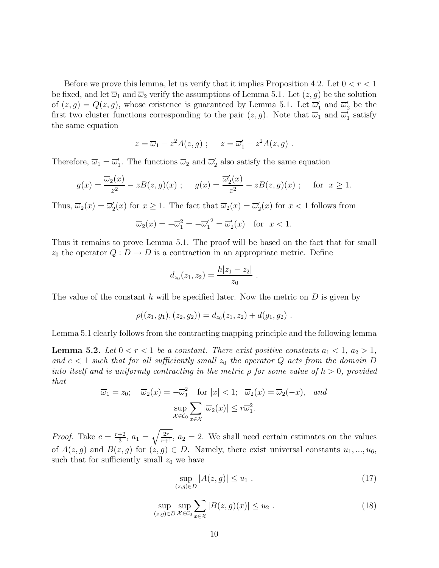Before we prove this lemma, let us verify that it implies Proposition 4.2. Let  $0 < r < 1$ be fixed, and let  $\overline{\omega}_1$  and  $\overline{\omega}_2$  verify the assumptions of Lemma 5.1. Let  $(z, g)$  be the solution of  $(z, g) = Q(z, g)$ , whose existence is guaranteed by Lemma 5.1. Let  $\overline{\omega}'_1$  and  $\overline{\omega}'_2$  be the first two cluster functions corresponding to the pair  $(z, g)$ . Note that  $\overline{\omega}_1$  and  $\overline{\omega}'_1$  satisfy the same equation

$$
z = \overline{\omega}_1 - z^2 A(z, g) \; ; \quad z = \overline{\omega}'_1 - z^2 A(z, g) \; .
$$

Therefore,  $\overline{\omega}_1 = \overline{\omega}'_1$ . The functions  $\overline{\omega}_2$  and  $\overline{\omega}'_2$  also satisfy the same equation

$$
g(x) = \frac{\overline{\omega}_2(x)}{z^2} - zB(z, g)(x) \; ; \quad g(x) = \frac{\overline{\omega}_2'(x)}{z^2} - zB(z, g)(x) \; ; \quad \text{for } x \ge 1.
$$

Thus,  $\overline{\omega}_2(x) = \overline{\omega}'_2(x)$  for  $x \ge 1$ . The fact that  $\overline{\omega}_2(x) = \overline{\omega}'_2(x)$  for  $x < 1$  follows from

$$
\overline{\omega}_2(x) = -\overline{\omega}_1^2 = -\overline{\omega}_1'^2 = \overline{\omega}_2'(x) \quad \text{for } x < 1.
$$

Thus it remains to prove Lemma 5.1. The proof will be based on the fact that for small  $z_0$  the operator  $Q: D \to D$  is a contraction in an appropriate metric. Define

$$
d_{z_0}(z_1, z_2) = \frac{h|z_1 - z_2|}{z_0}
$$

.

The value of the constant h will be specified later. Now the metric on  $D$  is given by

$$
\rho((z_1,g_1),(z_2,g_2))=d_{z_0}(z_1,z_2)+d(g_1,g_2).
$$

Lemma 5.1 clearly follows from the contracting mapping principle and the following lemma

**Lemma 5.2.** Let  $0 < r < 1$  be a constant. There exist positive constants  $a_1 < 1$ ,  $a_2 > 1$ , and  $c < 1$  such that for all sufficiently small  $z_0$  the operator Q acts from the domain D into itself and is uniformly contracting in the metric  $\rho$  for some value of  $h > 0$ , provided that

$$
\overline{\omega}_1 = z_0; \quad \overline{\omega}_2(x) = -\overline{\omega}_1^2 \quad \text{for } |x| < 1; \quad \overline{\omega}_2(x) = \overline{\omega}_2(-x), \quad \text{and}
$$
\n
$$
\sup_{\mathcal{X} \in \mathcal{C}_0} \sum_{x \in \mathcal{X}} |\overline{\omega}_2(x)| \le r\overline{\omega}_1^2.
$$

*Proof.* Take  $c = \frac{r+2}{3}$  $\frac{+2}{3}$ ,  $a_1 = \sqrt{\frac{2r}{r+1}}$ ,  $a_2 = 2$ . We shall need certain estimates on the values of  $A(z, g)$  and  $B(z, g)$  for  $(z, g) \in D$ . Namely, there exist universal constants  $u_1, ..., u_6$ , such that for sufficiently small  $z_0$  we have

$$
\sup_{(z,g)\in D} |A(z,g)| \le u_1 . \tag{17}
$$

$$
\sup_{(z,g)\in D} \sup_{\mathcal{X}\in\mathcal{C}_0} \sum_{x\in\mathcal{X}} |B(z,g)(x)| \le u_2.
$$
 (18)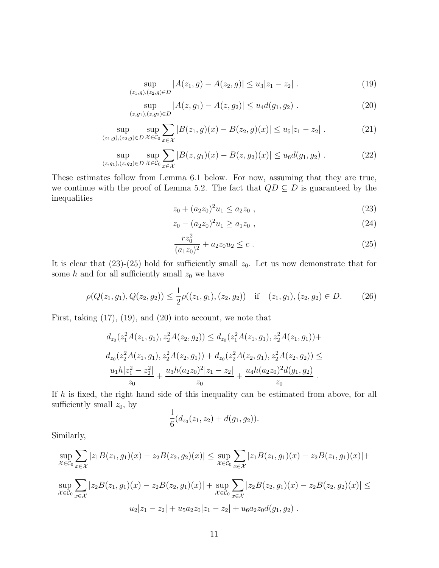$$
\sup_{(z_1,g),(z_2,g)\in D} |A(z_1,g) - A(z_2,g)| \le u_3 |z_1 - z_2|.
$$
 (19)

$$
\sup_{(z,g_1),(z,g_2)\in D} |A(z,g_1) - A(z,g_2)| \le u_4 d(g_1,g_2).
$$
 (20)

$$
\sup_{(z_1,g),(z_2,g)\in D} \sup_{\mathcal{X}\in\mathcal{C}_0} \sum_{x\in\mathcal{X}} |B(z_1,g)(x) - B(z_2,g)(x)| \le u_5 |z_1 - z_2|.
$$
 (21)

$$
\sup_{(z,g_1),(z,g_2)\in D} \sup_{\mathcal{X}\in\mathcal{C}_0} \sum_{x\in\mathcal{X}} |B(z,g_1)(x) - B(z,g_2)(x)| \le u_6 d(g_1,g_2).
$$
 (22)

These estimates follow from Lemma 6.1 below. For now, assuming that they are true, we continue with the proof of Lemma 5.2. The fact that  $QD \subseteq D$  is guaranteed by the inequalities

$$
z_0 + (a_2 z_0)^2 u_1 \le a_2 z_0 , \qquad (23)
$$

$$
z_0 - (a_2 z_0)^2 u_1 \ge a_1 z_0 , \qquad (24)
$$

$$
\frac{rz_0^2}{(a_1z_0)^2} + a_2z_0u_2 \le c \ . \tag{25}
$$

It is clear that  $(23)-(25)$  hold for sufficiently small  $z_0$ . Let us now demonstrate that for some  $h$  and for all sufficiently small  $z_0$  we have

$$
\rho(Q(z_1, g_1), Q(z_2, g_2)) \le \frac{1}{2}\rho((z_1, g_1), (z_2, g_2)) \quad \text{if} \quad (z_1, g_1), (z_2, g_2) \in D. \tag{26}
$$

First, taking (17), (19), and (20) into account, we note that

$$
d_{z_0}(z_1^2A(z_1, g_1), z_2^2A(z_2, g_2)) \le d_{z_0}(z_1^2A(z_1, g_1), z_2^2A(z_1, g_1)) +
$$
  
\n
$$
d_{z_0}(z_2^2A(z_1, g_1), z_2^2A(z_2, g_1)) + d_{z_0}(z_2^2A(z_2, g_1), z_2^2A(z_2, g_2)) \le
$$
  
\n
$$
\frac{u_1h|z_1^2 - z_2^2|}{z_0} + \frac{u_3h(a_2z_0)^2|z_1 - z_2|}{z_0} + \frac{u_4h(a_2z_0)^2d(g_1, g_2)}{z_0}.
$$

If h is fixed, the right hand side of this inequality can be estimated from above, for all sufficiently small  $z_0$ , by 1

$$
\frac{1}{6}(d_{z_0}(z_1,z_2)+d(g_1,g_2)).
$$

Similarly,

$$
\sup_{\mathcal{X}\in\mathcal{C}_0}\sum_{x\in\mathcal{X}}|z_1B(z_1,g_1)(x)-z_2B(z_2,g_2)(x)| \leq \sup_{\mathcal{X}\in\mathcal{C}_0}\sum_{x\in\mathcal{X}}|z_1B(z_1,g_1)(x)-z_2B(z_1,g_1)(x)| +
$$
  
\n
$$
\sup_{\mathcal{X}\in\mathcal{C}_0}\sum_{x\in\mathcal{X}}|z_2B(z_1,g_1)(x)-z_2B(z_2,g_1)(x)| + \sup_{\mathcal{X}\in\mathcal{C}_0}\sum_{x\in\mathcal{X}}|z_2B(z_2,g_1)(x)-z_2B(z_2,g_2)(x)| \leq
$$
  
\n
$$
u_2|z_1-z_2| + u_5a_2z_0|z_1-z_2| + u_6a_2z_0d(g_1,g_2).
$$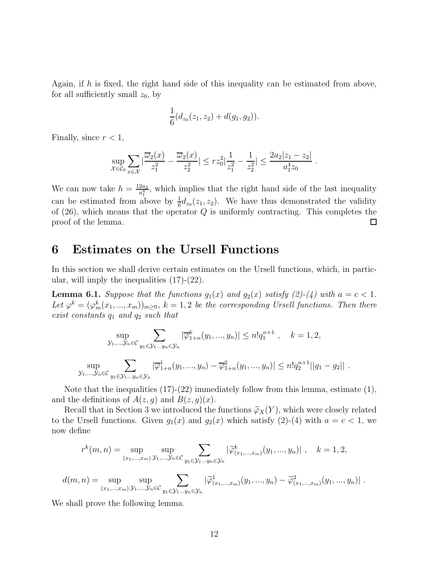Again, if  $h$  is fixed, the right hand side of this inequality can be estimated from above, for all sufficiently small  $z_0$ , by

$$
\frac{1}{6}(d_{z_0}(z_1,z_2)+d(g_1,g_2)).
$$

Finally, since  $r < 1$ ,

$$
\sup_{\mathcal{X}\in\mathcal{C}_0}\sum_{x\in\mathcal{X}}|\frac{\overline{\omega_2}(x)}{z_1^2}-\frac{\overline{\omega_2}(x)}{z_2^2}|\leq rz_0^2|\frac{1}{z_1^2}-\frac{1}{z_2^2}|\leq \frac{2a_2|z_1-z_2|}{a_1^4z_0}.
$$

We can now take  $h = \frac{12a_2}{a^4}$  $\frac{2a_2}{a_1^4}$ , which implies that the right hand side of the last inequality can be estimated from above by  $\frac{1}{6}d_{z_0}(z_1, z_2)$ . We have thus demonstrated the validity of  $(26)$ , which means that the operator Q is uniformly contracting. This completes the proof of the lemma. 囗

#### 6 Estimates on the Ursell Functions

In this section we shall derive certain estimates on the Ursell functions, which, in particular, will imply the inequalities (17)-(22).

**Lemma 6.1.** Suppose that the functions  $g_1(x)$  and  $g_2(x)$  satisfy (2)-(4) with  $a = c < 1$ . Let  $\varphi^k = (\varphi_m^k(x_1, ..., x_m))_{m \geq 0}, k = 1, 2$  be the corresponding Ursell functions. Then there exist constants  $q_1$  and  $q_2$  such that

$$
\sup_{\substack{y_1,\ldots,y_n \in \mathcal{C} \\ y_1, \ldots, y_n \in \mathcal{C}}} \sum_{y_1 \in \mathcal{Y}_1 \ldots y_n \in \mathcal{Y}_n} |\overline{\varphi}_{1+n}^k(y_1,\ldots,y_n)| \le n! q_1^{n+1}, \quad k = 1, 2,
$$
  

$$
\sup_{\substack{y_1,\ldots,y_n \in \mathcal{C} \\ y_1 \in \mathcal{Y}_1 \ldots y_n \in \mathcal{Y}_n}} |\overline{\varphi}_{1+n}^1(y_1,\ldots,y_n) - \overline{\varphi}_{1+n}^2(y_1,\ldots,y_n)| \le n! q_2^{n+1} ||g_1 - g_2||.
$$

Note that the inequalities (17)-(22) immediately follow from this lemma, estimate (1), and the definitions of  $A(z, g)$  and  $B(z, g)(x)$ .

Recall that in Section 3 we introduced the functions  $\widetilde{\varphi}_X(Y)$ , which were closely related to the Ursell functions. Given  $g_1(x)$  and  $g_2(x)$  which satisfy (2)-(4) with  $a = c < 1$ , we now define

$$
r^{k}(m, n) = \sup_{(x_1, ..., x_m)} \sup_{\mathcal{Y}_1, ..., \mathcal{Y}_n \in \mathcal{C}} \sum_{y_1 \in \mathcal{Y}_1... y_n \in \mathcal{Y}_n} |\widetilde{\varphi}_{(x_1, ..., x_m)}^{k}(y_1, ..., y_n)|, \quad k = 1, 2,
$$

$$
d(m,n) = \sup_{(x_1,...,x_m)} \sup_{\mathcal{Y}_1,...,\mathcal{Y}_n \in \mathcal{C}} \sum_{y_1 \in \mathcal{Y}_1...y_n \in \mathcal{Y}_n} |\tilde{\varphi}_{(x_1,...,x_m)}^1(y_1,...,y_n) - \tilde{\varphi}_{(x_1,...,x_m)}^2(y_1,...,y_n)|.
$$

We shall prove the following lemma.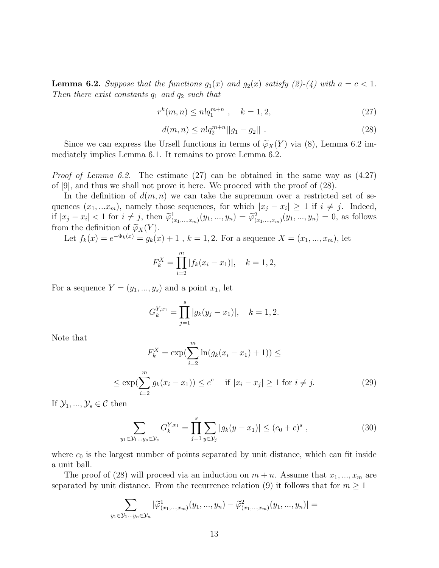**Lemma 6.2.** Suppose that the functions  $g_1(x)$  and  $g_2(x)$  satisfy (2)-(4) with  $a = c < 1$ . Then there exist constants  $q_1$  and  $q_2$  such that

$$
r^k(m,n) \le n!q_1^{m+n} \ , \quad k = 1,2,
$$
\n(27)

$$
d(m,n) \le n!q_2^{m+n}||g_1 - g_2||. \tag{28}
$$

Since we can express the Ursell functions in terms of  $\widetilde{\varphi}_X(Y)$  via (8), Lemma 6.2 immediately implies Lemma 6.1. It remains to prove Lemma 6.2.

*Proof of Lemma 6.2.* The estimate  $(27)$  can be obtained in the same way as  $(4.27)$ of [9], and thus we shall not prove it here. We proceed with the proof of (28).

In the definition of  $d(m, n)$  we can take the supremum over a restricted set of sequences  $(x_1, ... x_m)$ , namely those sequences, for which  $|x_j - x_i| \geq 1$  if  $i \neq j$ . Indeed, if  $|x_j - x_i| < 1$  for  $i \neq j$ , then  $\tilde{\varphi}^1_{(x_1,...,x_m)}(y_1,...,y_n) = \tilde{\varphi}^2_{(x_1,...,x_m)}(y_1,...,y_n) = 0$ , as follows from the definition of  $\widetilde{\varphi}_X(Y)$ .

Let  $f_k(x) = e^{-\Phi_k(x)} = g_k(x) + 1$ ,  $k = 1, 2$ . For a sequence  $X = (x_1, ..., x_m)$ , let

$$
F_k^X = \prod_{i=2}^m |f_k(x_i - x_1)|, \quad k = 1, 2,
$$

For a sequence  $Y = (y_1, ..., y_s)$  and a point  $x_1$ , let

$$
G_k^{Y,x_1} = \prod_{j=1}^s |g_k(y_j - x_1)|, \quad k = 1, 2.
$$

Note that

$$
F_k^X = \exp(\sum_{i=2}^m \ln(g_k(x_i - x_1) + 1)) \le
$$
  

$$
\le \exp(\sum_{i=2}^m g_k(x_i - x_1)) \le e^c \quad \text{if } |x_i - x_j| \ge 1 \text{ for } i \ne j.
$$
 (29)

If  $\mathcal{Y}_1, ..., \mathcal{Y}_s \in \mathcal{C}$  then

$$
\sum_{y_1 \in \mathcal{Y}_1 \dots y_s \in \mathcal{Y}_s} G_k^{Y, x_1} = \prod_{j=1}^s \sum_{y \in \mathcal{Y}_j} |g_k(y - x_1)| \le (c_0 + c)^s , \qquad (30)
$$

where  $c_0$  is the largest number of points separated by unit distance, which can fit inside a unit ball.

The proof of (28) will proceed via an induction on  $m + n$ . Assume that  $x_1, ..., x_m$  are separated by unit distance. From the recurrence relation (9) it follows that for  $m \geq 1$ 

$$
\sum_{y_1 \in \mathcal{Y}_1 \dots y_n \in \mathcal{Y}_n} |\widetilde{\varphi}^1_{(x_1,\dots,x_m)}(y_1,...,y_n) - \widetilde{\varphi}^2_{(x_1,\dots,x_m)}(y_1,...,y_n)| =
$$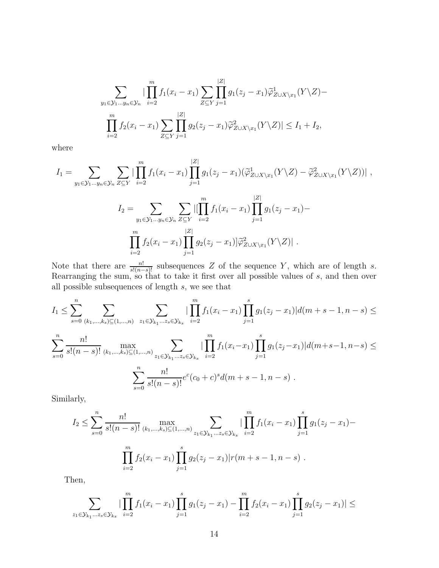$$
\sum_{y_1 \in \mathcal{Y}_1 \dots y_n \in \mathcal{Y}_n} |\prod_{i=2}^m f_1(x_i - x_1) \sum_{Z \subseteq Y} \prod_{j=1}^{|Z|} g_1(z_j - x_1) \widetilde{\varphi}_{Z \cup X \setminus x_1}^1(Y \setminus Z) -
$$
\n
$$
\prod_{i=2}^m f_2(x_i - x_1) \sum_{Z \subseteq Y} \prod_{j=1}^{|Z|} g_2(z_j - x_1) \widetilde{\varphi}_{Z \cup X \setminus x_1}^2(Y \setminus Z) | \leq I_1 + I_2,
$$

where

$$
I_{1} = \sum_{y_{1} \in \mathcal{Y}_{1} \dots y_{n} \in \mathcal{Y}_{n}} \sum_{Z \subseteq Y} \left| \prod_{i=2}^{m} f_{1}(x_{i} - x_{1}) \prod_{j=1}^{|Z|} g_{1}(z_{j} - x_{1}) (\widetilde{\varphi}_{Z \cup X \setminus x_{1}}^{1}(Y \setminus Z) - \widetilde{\varphi}_{Z \cup X \setminus x_{1}}^{2}(Y \setminus Z)) \right| ,
$$
  
\n
$$
I_{2} = \sum_{y_{1} \in \mathcal{Y}_{1} \dots y_{n} \in \mathcal{Y}_{n}} \sum_{Z \subseteq Y} \left| [\prod_{i=2}^{m} f_{1}(x_{i} - x_{1}) \prod_{j=1}^{|Z|} g_{1}(z_{j} - x_{1}) - \prod_{i=2}^{m} f_{2}(x_{i} - x_{1}) \prod_{j=1}^{|Z|} g_{2}(z_{j} - x_{1}) \right| \widetilde{\varphi}_{Z \cup X \setminus x_{1}}^{2}(Y \setminus Z) \right| .
$$

Note that there are  $\frac{n!}{s!(n-s)!}$  subsequences Z of the sequence Y, which are of length s. Rearranging the sum, so that to take it first over all possible values of s, and then over all possible subsequences of length  $s$ , we see that

$$
I_{1} \leq \sum_{s=0}^{n} \sum_{(k_{1},...,k_{s}) \subseteq (1,...,n)} \sum_{z_{1} \in \mathcal{Y}_{k_{1}}...z_{s} \in \mathcal{Y}_{k_{s}}} |\prod_{i=2}^{m} f_{1}(x_{i}-x_{1}) \prod_{j=1}^{s} g_{1}(z_{j}-x_{1})| d(m+s-1,n-s) \leq
$$
  

$$
\sum_{s=0}^{n} \frac{n!}{s!(n-s)!} \max_{(k_{1},...,k_{s}) \subseteq (1,...,n)} \sum_{z_{1} \in \mathcal{Y}_{k_{1}}...z_{s} \in \mathcal{Y}_{k_{s}}} |\prod_{i=2}^{m} f_{1}(x_{i}-x_{1}) \prod_{j=1}^{s} g_{1}(z_{j}-x_{1})| d(m+s-1,n-s) \leq
$$
  

$$
\sum_{s=0}^{n} \frac{n!}{s!(n-s)!} e^{c}(c_{0}+c)^{s} d(m+s-1,n-s).
$$

Similarly,

$$
I_2 \leq \sum_{s=0}^n \frac{n!}{s!(n-s)!} \max_{(k_1,\dots,k_s)\subseteq(1,\dots,n)} \sum_{z_1 \in \mathcal{Y}_{k_1}\dots z_s \in \mathcal{Y}_{k_s}} \left| \prod_{i=2}^m f_1(x_i - x_1) \prod_{j=1}^s g_1(z_j - x_1) - \prod_{i=2}^m f_2(x_i - x_1) \prod_{j=1}^s g_2(z_j - x_1) \right| r(m+s-1, n-s).
$$

Then,

$$
\sum_{z_1 \in \mathcal{Y}_{k_1} \dots z_s \in \mathcal{Y}_{k_s}} |\prod_{i=2}^m f_1(x_i - x_1) \prod_{j=1}^s g_1(z_j - x_1) - \prod_{i=2}^m f_2(x_i - x_1) \prod_{j=1}^s g_2(z_j - x_1)| \le
$$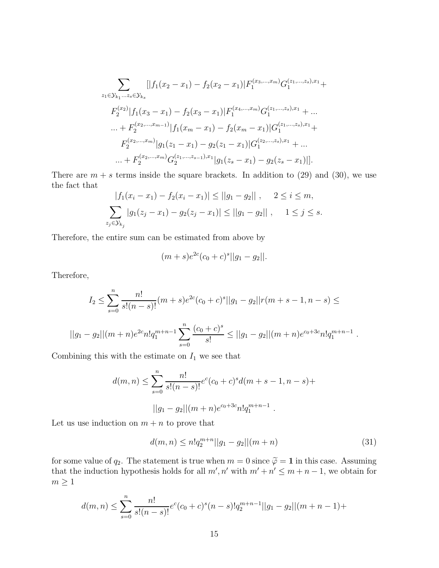$$
\sum_{z_1 \in \mathcal{Y}_{k_1} \dots z_s \in \mathcal{Y}_{k_s}} [|f_1(x_2 - x_1) - f_2(x_2 - x_1)| F_1^{(x_3, \dots, x_m)} G_1^{(z_1, \dots, z_s), x_1} +
$$
  
\n
$$
F_2^{(x_2)} |f_1(x_3 - x_1) - f_2(x_3 - x_1)| F_1^{(x_4, \dots, x_m)} G_1^{(z_1, \dots, z_s), x_1} + \dots
$$
  
\n
$$
\dots + F_2^{(x_2, \dots, x_{m-1})} |f_1(x_m - x_1) - f_2(x_m - x_1)| G_1^{(z_1, \dots, z_s), x_1} +
$$
  
\n
$$
F_2^{(x_2, \dots, x_m)} |g_1(z_1 - x_1) - g_2(z_1 - x_1)| G_1^{(z_2, \dots, z_s), x_1} + \dots
$$
  
\n
$$
\dots + F_2^{(x_2, \dots, x_m)} G_2^{(z_1, \dots, z_{s-1}), x_1} |g_1(z_s - x_1) - g_2(z_s - x_1)|].
$$

There are  $m + s$  terms inside the square brackets. In addition to (29) and (30), we use the fact that

$$
|f_1(x_i - x_1) - f_2(x_i - x_1)| \le ||g_1 - g_2||, \quad 2 \le i \le m,
$$
  

$$
\sum_{z_j \in \mathcal{Y}_{k_j}} |g_1(z_j - x_1) - g_2(z_j - x_1)| \le ||g_1 - g_2||, \quad 1 \le j \le s.
$$

Therefore, the entire sum can be estimated from above by

$$
(m+s)e^{2c}(c_0+c)^s||g_1-g_2||.
$$

Therefore,

$$
I_2 \le \sum_{s=0}^n \frac{n!}{s!(n-s)!} (m+s)e^{2c}(c_0+c)^s ||g_1-g_2||r(m+s-1,n-s) \le
$$
  
 
$$
||g_1-g_2||(m+n)e^{2c}n!q_1^{m+n-1} \sum_{s=0}^n \frac{(c_0+c)^s}{s!} \le ||g_1-g_2||(m+n)e^{c_0+3c}n!q_1^{m+n-1}
$$

Combining this with the estimate on  $I_1$  we see that

$$
d(m,n) \le \sum_{s=0}^{n} \frac{n!}{s!(n-s)!} e^{c(c_0 + c)^s d(m+s-1, n-s) +
$$
  
 
$$
||g_1 - g_2||(m+n)e^{c_0 + 3c} n! q_1^{m+n-1} .
$$

Let us use induction on  $m + n$  to prove that

$$
d(m,n) \le n!q_2^{m+n}||g_1 - g_2||(m+n)
$$
\n(31)

.

for some value of  $q_2$ . The statement is true when  $m = 0$  since  $\widetilde{\varphi} = 1$  in this case. Assuming that the induction hypothesis holds for all  $m'$ ,  $n'$  with  $m'+n' \leq m+n-1$ , we obtain for  $m\geq 1$ 

$$
d(m,n) \leq \sum_{s=0}^{n} \frac{n!}{s!(n-s)!} e^{c}(c_0+c)^{s}(n-s)! q_2^{m+n-1}||g_1-g_2||(m+n-1)+
$$